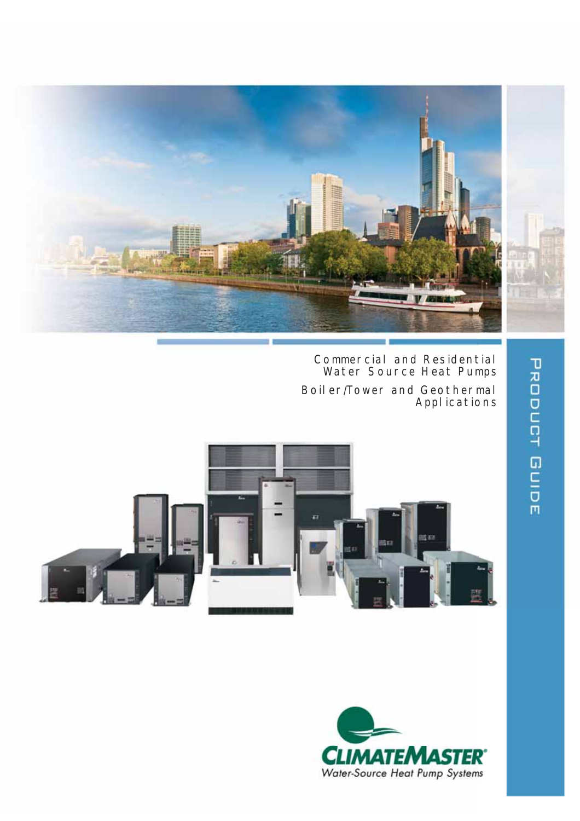

Commercial and Residential Water Source Heat Pumps Boiler/Tower and Geothermal

Applications





**PRODUCT GUIDE**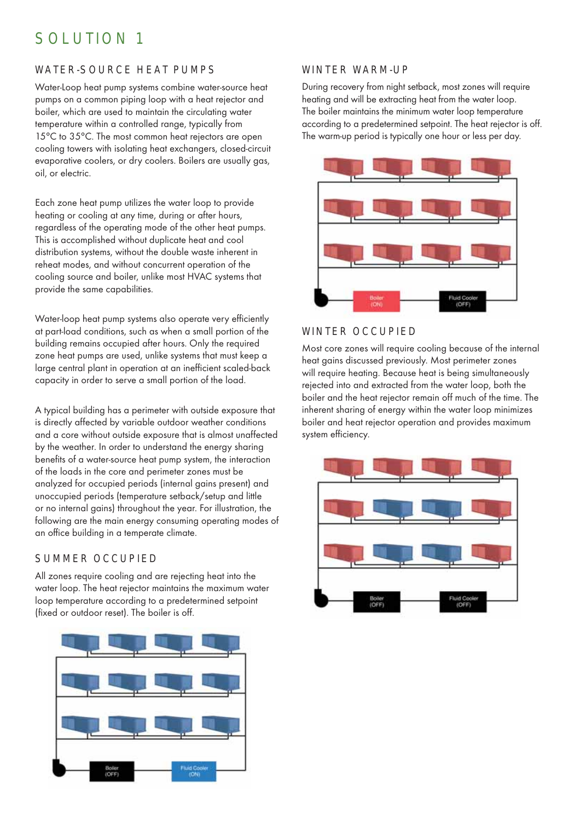# SOLUTION 1

# WATER-SOURCE HEAT PUMPS

Water-Loop heat pump systems combine water-source heat pumps on a common piping loop with a heat rejector and boiler, which are used to maintain the circulating water temperature within a controlled range, typically from 15°C to 35°C. The most common heat rejectors are open cooling towers with isolating heat exchangers, closed-circuit evaporative coolers, or dry coolers. Boilers are usually gas, oil, or electric.

Each zone heat pump utilizes the water loop to provide heating or cooling at any time, during or after hours, regardless of the operating mode of the other heat pumps. This is accomplished without duplicate heat and cool distribution systems, without the double waste inherent in reheat modes, and without concurrent operation of the cooling source and boiler, unlike most HVAC systems that provide the same capabilities.

Water-loop heat pump systems also operate very efficiently at part-load conditions, such as when a small portion of the building remains occupied after hours. Only the required zone heat pumps are used, unlike systems that must keep a large central plant in operation at an inefficient scaled-back capacity in order to serve a small portion of the load.

A typical building has a perimeter with outside exposure that is directly affected by variable outdoor weather conditions and a core without outside exposure that is almost unaffected by the weather. In order to understand the energy sharing benefits of a water-source heat pump system, the interaction of the loads in the core and perimeter zones must be analyzed for occupied periods (internal gains present) and unoccupied periods (temperature setback/setup and little or no internal gains) throughout the year. For illustration, the following are the main energy consuming operating modes of an office building in a temperate climate.

# SUMMER OCCUPIED

All zones require cooling and are rejecting heat into the water loop. The heat rejector maintains the maximum water loop temperature according to a predetermined setpoint (fixed or outdoor reset). The boiler is off.



## WINTER WARM-UP

During recovery from night setback, most zones will require heating and will be extracting heat from the water loop. The boiler maintains the minimum water loop temperature according to a predetermined setpoint. The heat rejector is off. The warm-up period is typically one hour or less per day.



## WINTER OCCUPIED

Most core zones will require cooling because of the internal heat gains discussed previously. Most perimeter zones will require heating. Because heat is being simultaneously rejected into and extracted from the water loop, both the boiler and the heat rejector remain off much of the time. The inherent sharing of energy within the water loop minimizes boiler and heat rejector operation and provides maximum system efficiency.

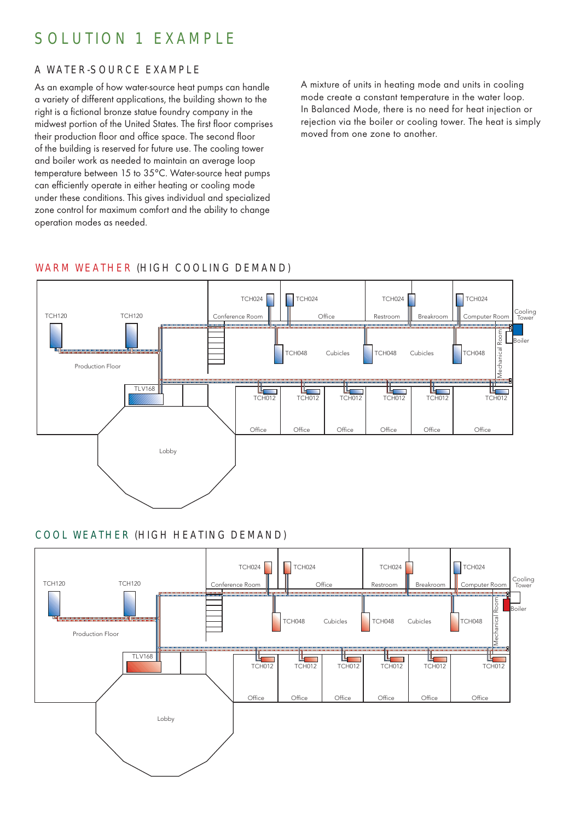# SOLUTION 1 EXAMPLE

# A WATER-SOURCE EXAMPLE

As an example of how water-source heat pumps can handle a variety of different applications, the building shown to the right is a fictional bronze statue foundry company in the midwest portion of the United States. The first floor comprises their production floor and office space. The second floor of the building is reserved for future use. The cooling tower and boiler work as needed to maintain an average loop temperature between 15 to 35°C. Water-source heat pumps can efficiently operate in either heating or cooling mode under these conditions. This gives individual and specialized zone control for maximum comfort and the ability to change operation modes as needed.

A mixture of units in heating mode and units in cooling mode create a constant temperature in the water loop. In Balanced Mode, there is no need for heat injection or rejection via the boiler or cooling tower. The heat is simply moved from one zone to another.

# WARM WEATHER (HIGH COOLING DEMAND)



# COOL WEATHER (HIGH HEATING DEMAND)

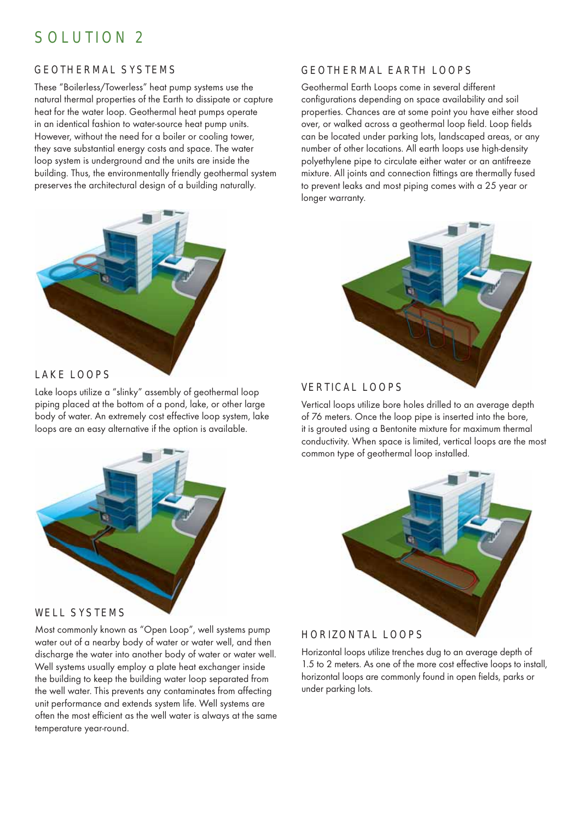# SOLUTION 2

## GEOTHERMAL SYSTEMS

These "Boilerless/Towerless" heat pump systems use the natural thermal properties of the Earth to dissipate or capture heat for the water loop. Geothermal heat pumps operate in an identical fashion to water-source heat pump units. However, without the need for a boiler or cooling tower, they save substantial energy costs and space. The water loop system is underground and the units are inside the building. Thus, the environmentally friendly geothermal system preserves the architectural design of a building naturally.



### LAKE LOOPS

Lake loops utilize a "slinky" assembly of geothermal loop piping placed at the bottom of a pond, lake, or other large body of water. An extremely cost effective loop system, lake loops are an easy alternative if the option is available.



#### WELL SYSTEMS

Most commonly known as "Open Loop", well systems pump water out of a nearby body of water or water well, and then discharge the water into another body of water or water well. Well systems usually employ a plate heat exchanger inside the building to keep the building water loop separated from the well water. This prevents any contaminates from affecting unit performance and extends system life. Well systems are often the most efficient as the well water is always at the same temperature year-round.

### GEOTHERMAL EARTH LOOPS

Geothermal Earth Loops come in several different configurations depending on space availability and soil properties. Chances are at some point you have either stood over, or walked across a geothermal loop field. Loop fields can be located under parking lots, landscaped areas, or any number of other locations. All earth loops use high-density polyethylene pipe to circulate either water or an antifreeze mixture. All joints and connection fittings are thermally fused to prevent leaks and most piping comes with a 25 year or longer warranty.



#### VERTICAL LOOPS

Vertical loops utilize bore holes drilled to an average depth of 76 meters. Once the loop pipe is inserted into the bore, it is grouted using a Bentonite mixture for maximum thermal conductivity. When space is limited, vertical loops are the most common type of geothermal loop installed.



## HORIZONTAL LOOPS

Horizontal loops utilize trenches dug to an average depth of 1.5 to 2 meters. As one of the more cost effective loops to install, horizontal loops are commonly found in open fields, parks or under parking lots.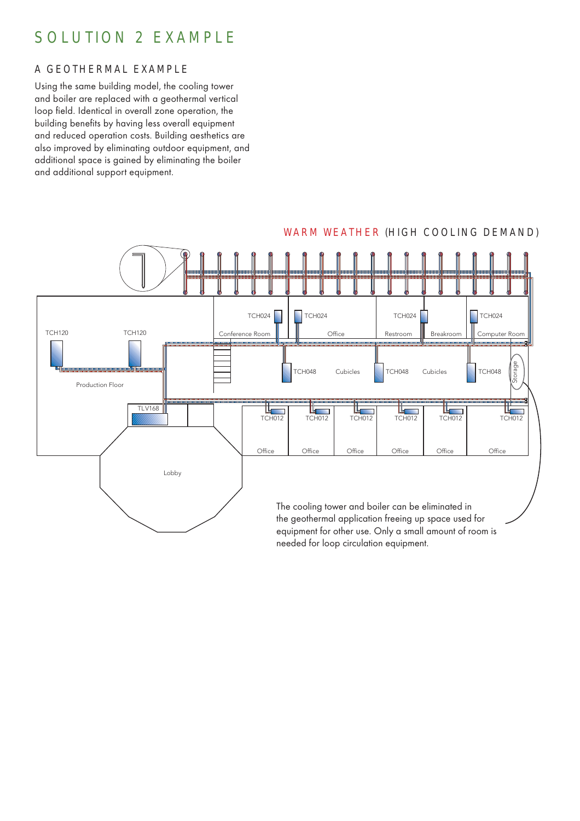# SOLUTION 2 EXAMPLE

# A GEOTHERMAL EXAMPLE

Using the same building model, the cooling tower and boiler are replaced with a geothermal vertical loop field. Identical in overall zone operation, the building benefits by having less overall equipment and reduced operation costs. Building aesthetics are also improved by eliminating outdoor equipment, and additional space is gained by eliminating the boiler and additional support equipment.



### WARM WEATHER (HIGH COOLING DEMAND)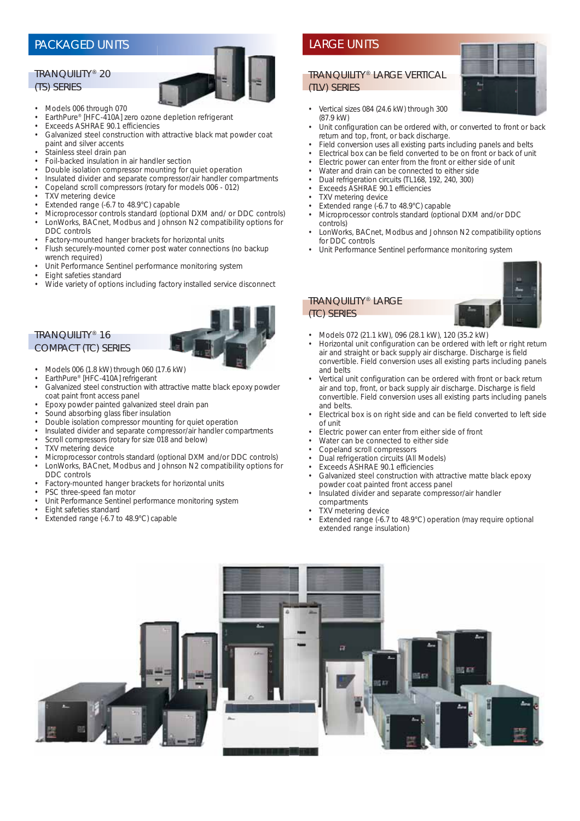#### TRANQUILITY® 20 (TS) SERIES



- Models 006 through 070
- EarthPure® [HFC-410A] zero ozone depletion refrigerant • Exceeds ASHRAE 90.1 efficiencies
- 
- Galvanized steel construction with attractive black mat powder coat paint and silver accents
- Stainless steel drain pan
- Foil-backed insulation in air handler section
- Double isolation compressor mounting for quiet operation
- Insulated divider and separate compressor/air handler compartments
- Copeland scroll compressors (rotary for models 006 012)
- TXV metering device
- Extended range (-6.7 to 48.9°C) capable
- Microprocessor controls standard (optional DXM and/ or DDC controls) • LonWorks, BACnet, Modbus and Johnson N2 compatibility options for
- DDC controls
- Factory-mounted hanger brackets for horizontal units
- Flush securely-mounted corner post water connections (no backup wrench required)
- Unit Performance Sentinel performance monitoring system
- Eight safeties standard
- Wide variety of options including factory installed service disconnect

#### TRANQUILITY® 16 COMPACT (TC) SERIES



- Models 006 (1.8 kW) through 060 (17.6 kW)
- EarthPure® [HFC-410A] refrigerant
- Galvanized steel construction with attractive matte black epoxy powder coat paint front access panel
- Epoxy powder painted galvanized steel drain pan
- Sound absorbing glass fiber insulation
- Double isolation compressor mounting for quiet operation
- Insulated divider and separate compressor/air handler compartments
- Scroll compressors (rotary for size 018 and below)
- **TXV** metering device
- Microprocessor controls standard (optional DXM and/or DDC controls)
- LonWorks, BACnet, Modbus and Johnson N2 compatibility options for DDC controls
- Factory-mounted hanger brackets for horizontal units
- PSC three-speed fan motor
- Unit Performance Sentinel performance monitoring system
- Eight safeties standard
- Extended range (-6.7 to 48.9°C) capable

#### TRANQUILITY® LARGE VERTICAL (TLV) SERIES

- Vertical sizes 084 (24.6 kW) through 300 (87.9 kW)
- Unit configuration can be ordered with, or converted to front or back return and top, front, or back discharge.
- Field conversion uses all existing parts including panels and belts
- Electrical box can be field converted to be on front or back of unit
- Electric power can enter from the front or either side of unit
- Water and drain can be connected to either side
- Dual refrigeration circuits (TL168, 192, 240, 300)
- Exceeds ASHRAE 90.1 efficiencies
- **TXV** metering device
- Extended range (-6.7 to 48.9°C) capable
- Microprocessor controls standard (optional DXM and/or DDC controls)
- LonWorks, BACnet, Modbus and Johnson N2 compatibility options for DDC controls
- Unit Performance Sentinel performance monitoring system



# (TC) SERIES

TRANQUILITY® LARGE

- Models 072 (21.1 kW), 096 (28.1 kW), 120 (35.2 kW)<br>• Horizontal unit configuration can be erdered with the
- Horizontal unit configuration can be ordered with left or right return air and straight or back supply air discharge. Discharge is field convertible. Field conversion uses all existing parts including panels and belts
- Vertical unit configuration can be ordered with front or back return air and top, front, or back supply air discharge. Discharge is field convertible. Field conversion uses all existing parts including panels and belts.
- Electrical box is on right side and can be field converted to left side of unit
- Electric power can enter from either side of front
- Water can be connected to either side
- Copeland scroll compressors
- Dual refrigeration circuits (All Models)
- Exceeds ASHRAE 90.1 efficiencies
- Galvanized steel construction with attractive matte black epoxy powder coat painted front access panel
- Insulated divider and separate compressor/air handler compartments
- TXV metering device
- Extended range (-6.7 to 48.9°C) operation (may require optional extended range insulation)



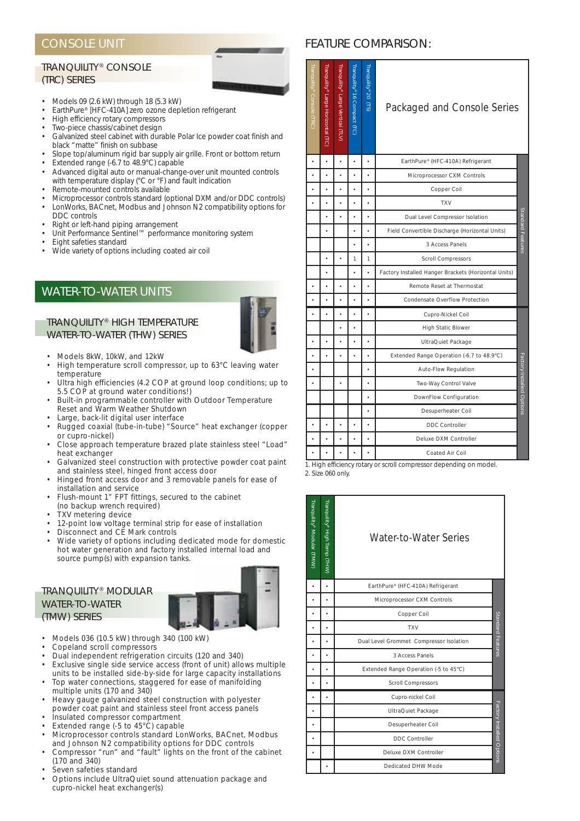## CONSOLE UNIT

#### TRANQUILITY® CONSOLE (TRC) SERIES



- Models 09 (2.6 kW) through 18 (5.3 kW)
- EarthPure® [HFC-410A] zero ozone depletion refrigerant
- High efficiency rotary compressors
- Two-piece chassis/cabinet design
- Galvanized steel cabinet with durable Polar Ice powder coat finish and black "matte" finish on subbase
- Slope top/aluminum rigid bar supply air grille. Front or bottom return • Extended range (-6.7 to 48.9°C) capable
- Advanced digital auto or manual-change-over unit mounted controls with temperature display (°C or °F) and fault indication
- Remote-mounted controls available
- Microprocessor controls standard (optional DXM and/or DDC controls) • LonWorks, BACnet, Modbus and Johnson N2 compatibility options for
- DDC controls
- Right or left-hand piping arrangement
- Unit Performance Sentinel™ performance monitoring system
- Eight safeties standard
- Wide variety of options including coated air coil

# WATER-TO-WATER UNITS

#### TRANQUILITY® HIGH TEMPERATURE WATER-TO-WATER (THW) SERIES



- Models 8kW, 10kW, and 12kW<br>• High temperature scroll comp
- High temperature scroll compressor, up to 63°C leaving water temperature
- Ultra high efficiencies (4.2 COP at ground loop conditions; up to 5.5 COP at ground water conditions!)
- Built-in programmable controller with Outdoor Temperature Reset and Warm Weather Shutdown
- Large, back-lit digital user interface
- Rugged coaxial (tube-in-tube) "Source" heat exchanger (copper or cupro-nickel)
- Close approach temperature brazed plate stainless steel "Load" heat exchanger
- Galvanized steel construction with protective powder coat paint and stainless steel, hinged front access door
- Hinged front access door and 3 removable panels for ease of installation and service
- Flush-mount 1" FPT fittings, secured to the cabinet (no backup wrench required)
- TXV metering device
- 12-point low voltage terminal strip for ease of installation
- Disconnect and CE Mark controls
- Wide variety of options including dedicated mode for domestic hot water generation and factory installed internal load and source pump(s) with expansion tanks.

#### TRANQUILITY® MODULAR WATER-TO-WATER (TMW) SERIES



- Models 036 (10.5 kW) through 340 (100 kW)
- Copeland scroll compressors
- Dual independent refrigeration circuits (120 and 340)
- Exclusive single side service access (front of unit) allows multiple units to be installed side-by-side for large capacity installations • Top water connections, staggered for ease of manifolding
- multiple units (170 and 340) • Heavy gauge galvanized steel construction with polyester
- powder coat paint and stainless steel front access panels
- Insulated compressor compartment
- Extended range (-5 to  $45^{\circ}$ C) capable
- Microprocessor controls standard LonWorks, BACnet, Modbus and Johnson N2 compatibility options for DDC controls
- Compressor "run" and "fault" lights on the front of the cabinet (170 and 340)
- Seven safeties standard
- Options include UltraQuiet sound attenuation package and cupro-nickel heat exchanger(s)

#### FEATURE COMPARISON:

| ranquility® Console (TRC) | Γranquility® Large Horizontal (TC) | Tranquility® Large Vertical (TLV) | Tranquility® 16 Compact (TC) | Tranquility <sup>®</sup> 20 (TS) | Packaged and Console Series                          |                          |
|---------------------------|------------------------------------|-----------------------------------|------------------------------|----------------------------------|------------------------------------------------------|--------------------------|
|                           |                                    |                                   |                              |                                  | EarthPure® (HFC-410A) Refrigerant                    |                          |
|                           |                                    |                                   |                              |                                  | Microprocessor CXM Controls                          |                          |
| $\ddot{\phantom{0}}$      |                                    |                                   |                              |                                  | Copper Coil                                          |                          |
|                           |                                    | $\bullet$                         |                              | $\bullet$                        | <b>TXV</b>                                           |                          |
|                           |                                    |                                   |                              |                                  | Dual Level Compressor Isolation                      |                          |
|                           |                                    |                                   |                              |                                  | Field Convertible Discharge (Horizontal Units)       | Standard Features        |
|                           |                                    |                                   |                              | $\bullet$                        | 3 Access Panels                                      |                          |
|                           |                                    |                                   | 1                            | 1                                | <b>Scroll Compressors</b>                            |                          |
|                           | ï                                  |                                   | $\bullet$                    |                                  | Factory Installed Hanger Brackets (Horizontal Units) |                          |
|                           |                                    | $\bullet$                         |                              |                                  | Remote Reset at Thermostat                           |                          |
|                           |                                    |                                   |                              |                                  | <b>Condensate Overflow Protection</b>                |                          |
| $\bullet$                 |                                    |                                   |                              |                                  | Cupro-Nickel Coil                                    |                          |
|                           |                                    |                                   |                              |                                  | <b>High Static Blower</b>                            |                          |
|                           |                                    |                                   |                              |                                  | UltraQuiet Package                                   |                          |
|                           |                                    |                                   |                              |                                  | Extended Range Operation (-6.7 to 48.9°C)            |                          |
|                           |                                    |                                   |                              |                                  | <b>Auto-Flow Regulation</b>                          |                          |
|                           |                                    | $\bullet$                         |                              |                                  | Two-Way Control Valve                                |                          |
|                           |                                    |                                   |                              |                                  | DownFlow Configuration                               | actory Installed Options |
|                           |                                    |                                   |                              |                                  | Desuperheater Coil                                   |                          |
|                           |                                    |                                   |                              |                                  | <b>DDC Controller</b>                                |                          |
|                           |                                    |                                   |                              |                                  | <b>Deluxe DXM Controller</b>                         |                          |
|                           |                                    |                                   |                              | ï                                | <b>Coated Air Coil</b>                               |                          |

1. High efficiency rotary or scroll compressor depending on model. 2. Size 060 only.

| Tranquility <sup>®</sup> Modular (TMW) | Tranquility® High Temp (THW) | Water-to-Water Series                   |                           |
|----------------------------------------|------------------------------|-----------------------------------------|---------------------------|
|                                        | ٠                            | EarthPure® (HFC-410A) Refrigerant       |                           |
|                                        | ٠                            | Microprocessor CXM Controls             |                           |
|                                        |                              | Copper Coil                             |                           |
|                                        |                              | <b>TXV</b>                              | Standard Features         |
|                                        |                              | Dual Level Grommet Compressor Isolation |                           |
|                                        | ä                            | 3 Access Panels                         |                           |
|                                        | $\bullet$                    | Extended Range Operation (-5 to 45°C)   |                           |
|                                        |                              | <b>Scroll Compressors</b>               |                           |
|                                        |                              | Cupro-nickel Coil                       |                           |
|                                        |                              | UltraQuiet Package                      |                           |
|                                        |                              | Desuperheater Coil                      |                           |
|                                        |                              | <b>DDC Controller</b>                   | Factory Installed Options |
|                                        |                              | <b>Deluxe DXM Controller</b>            |                           |
|                                        |                              | Dedicated DHW Mode                      |                           |